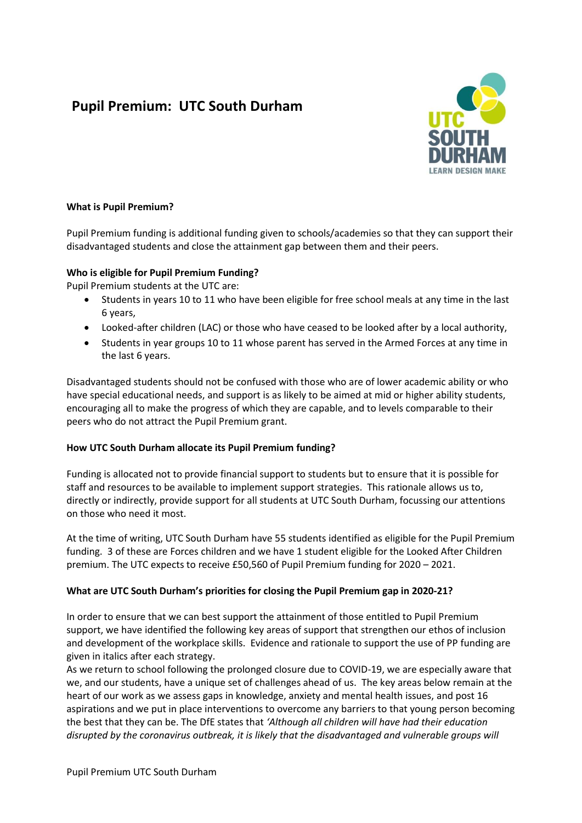# **Pupil Premium: UTC South Durham**



#### **What is Pupil Premium?**

Pupil Premium funding is additional funding given to schools/academies so that they can support their disadvantaged students and close the attainment gap between them and their peers.

#### **Who is eligible for Pupil Premium Funding?**

Pupil Premium students at the UTC are:

- Students in years 10 to 11 who have been eligible for free school meals at any time in the last 6 years,
- Looked-after children (LAC) or those who have ceased to be looked after by a local authority,
- Students in year groups 10 to 11 whose parent has served in the Armed Forces at any time in the last 6 years.

Disadvantaged students should not be confused with those who are of lower academic ability or who have special educational needs, and support is as likely to be aimed at mid or higher ability students, encouraging all to make the progress of which they are capable, and to levels comparable to their peers who do not attract the Pupil Premium grant.

# **How UTC South Durham allocate its Pupil Premium funding?**

Funding is allocated not to provide financial support to students but to ensure that it is possible for staff and resources to be available to implement support strategies. This rationale allows us to, directly or indirectly, provide support for all students at UTC South Durham, focussing our attentions on those who need it most.

At the time of writing, UTC South Durham have 55 students identified as eligible for the Pupil Premium funding. 3 of these are Forces children and we have 1 student eligible for the Looked After Children premium. The UTC expects to receive £50,560 of Pupil Premium funding for 2020 – 2021.

# **What are UTC South Durham's priorities for closing the Pupil Premium gap in 2020-21?**

In order to ensure that we can best support the attainment of those entitled to Pupil Premium support, we have identified the following key areas of support that strengthen our ethos of inclusion and development of the workplace skills. Evidence and rationale to support the use of PP funding are given in italics after each strategy.

As we return to school following the prolonged closure due to COVID-19, we are especially aware that we, and our students, have a unique set of challenges ahead of us. The key areas below remain at the heart of our work as we assess gaps in knowledge, anxiety and mental health issues, and post 16 aspirations and we put in place interventions to overcome any barriers to that young person becoming the best that they can be. The DfE states that *'Although all children will have had their education disrupted by the coronavirus outbreak, it is likely that the disadvantaged and vulnerable groups will*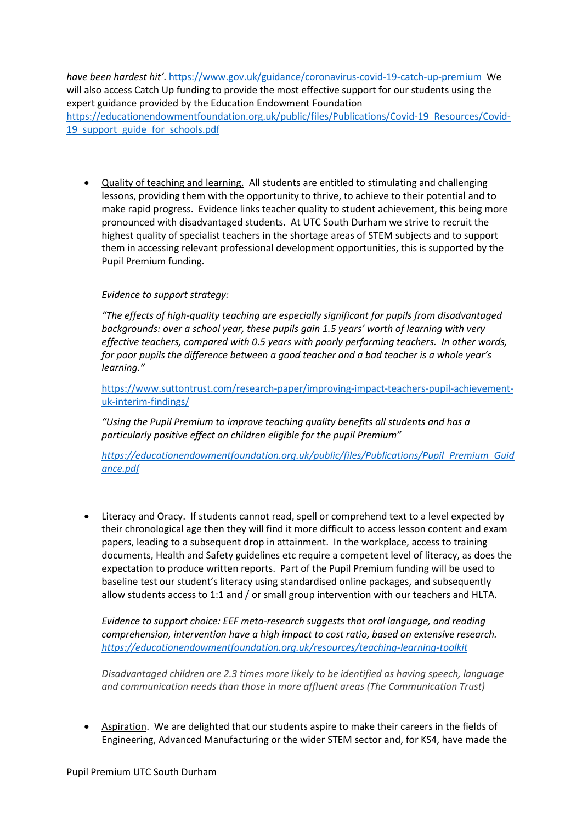*have been hardest hit'*[. https://www.gov.uk/guidance/coronavirus-covid-19-catch-up-premium](https://www.gov.uk/guidance/coronavirus-covid-19-catch-up-premium) We will also access Catch Up funding to provide the most effective support for our students using the expert guidance provided by the Education Endowment Foundation [https://educationendowmentfoundation.org.uk/public/files/Publications/Covid-19\\_Resources/Covid-](https://educationendowmentfoundation.org.uk/public/files/Publications/Covid-19_Resources/Covid-19_support_guide_for_schools.pdf)19 support guide for schools.pdf

 Quality of teaching and learning. All students are entitled to stimulating and challenging lessons, providing them with the opportunity to thrive, to achieve to their potential and to make rapid progress. Evidence links teacher quality to student achievement, this being more pronounced with disadvantaged students. At UTC South Durham we strive to recruit the highest quality of specialist teachers in the shortage areas of STEM subjects and to support them in accessing relevant professional development opportunities, this is supported by the Pupil Premium funding.

# *Evidence to support strategy:*

*"The effects of high-quality teaching are especially significant for pupils from disadvantaged backgrounds: over a school year, these pupils gain 1.5 years' worth of learning with very effective teachers, compared with 0.5 years with poorly performing teachers. In other words, for poor pupils the difference between a good teacher and a bad teacher is a whole year's learning."*

[https://www.suttontrust.com/research-paper/improving-impact-teachers-pupil-achievement](https://www.suttontrust.com/research-paper/improving-impact-teachers-pupil-achievement-uk-interim-findings/)[uk-interim-findings/](https://www.suttontrust.com/research-paper/improving-impact-teachers-pupil-achievement-uk-interim-findings/)

*"Using the Pupil Premium to improve teaching quality benefits all students and has a particularly positive effect on children eligible for the pupil Premium"*

*[https://educationendowmentfoundation.org.uk/public/files/Publications/Pupil\\_Premium\\_Guid](https://educationendowmentfoundation.org.uk/public/files/Publications/Pupil_Premium_Guidance.pdf) [ance.pdf](https://educationendowmentfoundation.org.uk/public/files/Publications/Pupil_Premium_Guidance.pdf)*

 Literacy and Oracy. If students cannot read, spell or comprehend text to a level expected by their chronological age then they will find it more difficult to access lesson content and exam papers, leading to a subsequent drop in attainment. In the workplace, access to training documents, Health and Safety guidelines etc require a competent level of literacy, as does the expectation to produce written reports. Part of the Pupil Premium funding will be used to baseline test our student's literacy using standardised online packages, and subsequently allow students access to 1:1 and / or small group intervention with our teachers and HLTA.

*Evidence to support choice: EEF meta-research suggests that oral language, and reading comprehension, intervention have a high impact to cost ratio, based on extensive research. <https://educationendowmentfoundation.org.uk/resources/teaching-learning-toolkit>*

*Disadvantaged children are 2.3 times more likely to be identified as having speech, language and communication needs than those in more affluent areas (The Communication Trust)*

 Aspiration. We are delighted that our students aspire to make their careers in the fields of Engineering, Advanced Manufacturing or the wider STEM sector and, for KS4, have made the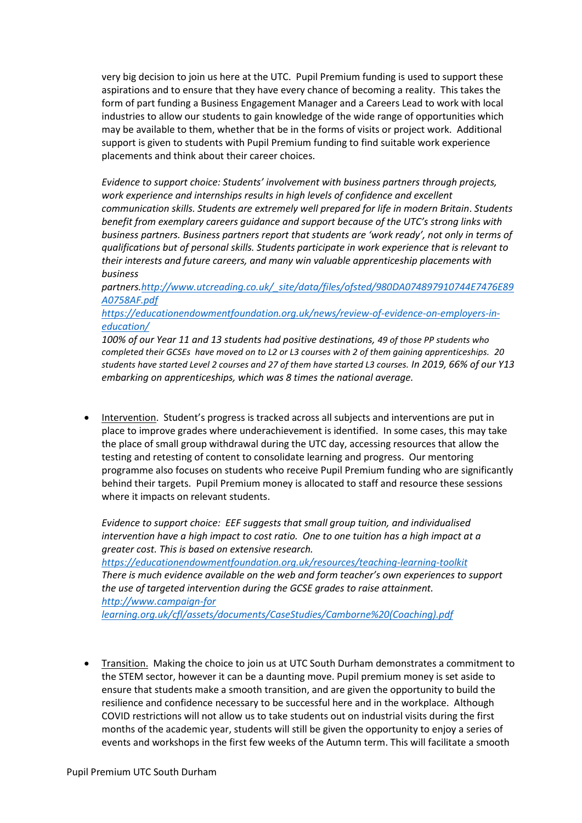very big decision to join us here at the UTC. Pupil Premium funding is used to support these aspirations and to ensure that they have every chance of becoming a reality. This takes the form of part funding a Business Engagement Manager and a Careers Lead to work with local industries to allow our students to gain knowledge of the wide range of opportunities which may be available to them, whether that be in the forms of visits or project work. Additional support is given to students with Pupil Premium funding to find suitable work experience placements and think about their career choices.

*Evidence to support choice: Students' involvement with business partners through projects, work experience and internships results in high levels of confidence and excellent communication skills. Students are extremely well prepared for life in modern Britain*. *Students benefit from exemplary careers guidance and support because of the UTC's strong links with business partners. Business partners report that students are 'work ready', not only in terms of qualifications but of personal skills. Students participate in work experience that is relevant to their interests and future careers, and many win valuable apprenticeship placements with business* 

*partners[.http://www.utcreading.co.uk/\\_site/data/files/ofsted/980DA074897910744E7476E89](http://www.utcreading.co.uk/_site/data/files/ofsted/980DA074897910744E7476E89A0758AF.pdf) [A0758AF.pdf](http://www.utcreading.co.uk/_site/data/files/ofsted/980DA074897910744E7476E89A0758AF.pdf)* 

*[https://educationendowmentfoundation.org.uk/news/review-of-evidence-on-employers-in](https://educationendowmentfoundation.org.uk/news/review-of-evidence-on-employers-in-education/)[education/](https://educationendowmentfoundation.org.uk/news/review-of-evidence-on-employers-in-education/)*

*100% of our Year 11 and 13 students had positive destinations, 49 of those PP students who completed their GCSEs have moved on to L2 or L3 courses with 2 of them gaining apprenticeships. 20 students have started Level 2 courses and 27 of them have started L3 courses. In 2019, 66% of our Y13 embarking on apprenticeships, which was 8 times the national average.*

 Intervention. Student's progress is tracked across all subjects and interventions are put in place to improve grades where underachievement is identified. In some cases, this may take the place of small group withdrawal during the UTC day, accessing resources that allow the testing and retesting of content to consolidate learning and progress. Our mentoring programme also focuses on students who receive Pupil Premium funding who are significantly behind their targets. Pupil Premium money is allocated to staff and resource these sessions where it impacts on relevant students.

*Evidence to support choice: EEF suggests that small group tuition, and individualised intervention have a high impact to cost ratio. One to one tuition has a high impact at a greater cost. This is based on extensive research. <https://educationendowmentfoundation.org.uk/resources/teaching-learning-toolkit> There is much evidence available on the web and form teacher's own experiences to support the use of targeted intervention during the GCSE grades to raise attainment. http://www.campaign-for learning.org.uk/cfl/assets/documents/CaseStudies/Camborne%20(Coaching).pdf*

 Transition. Making the choice to join us at UTC South Durham demonstrates a commitment to the STEM sector, however it can be a daunting move. Pupil premium money is set aside to ensure that students make a smooth transition, and are given the opportunity to build the resilience and confidence necessary to be successful here and in the workplace. Although COVID restrictions will not allow us to take students out on industrial visits during the first months of the academic year, students will still be given the opportunity to enjoy a series of events and workshops in the first few weeks of the Autumn term. This will facilitate a smooth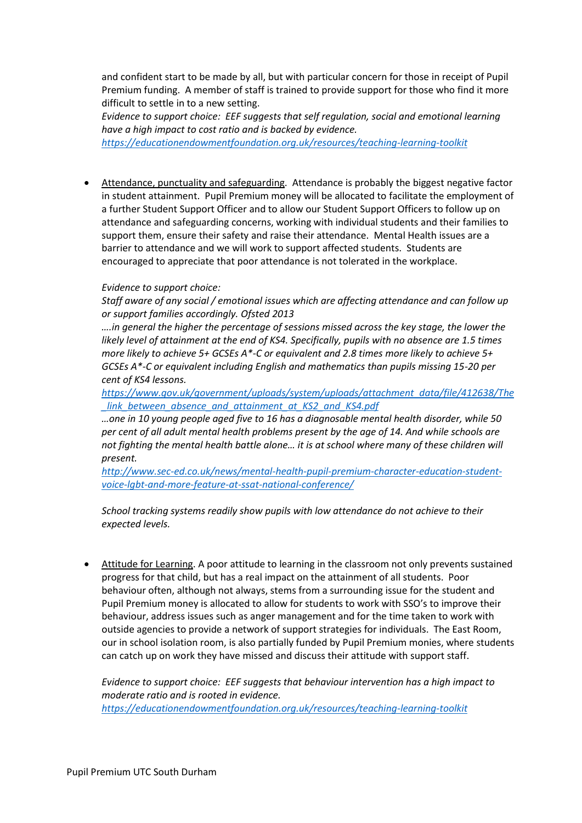and confident start to be made by all, but with particular concern for those in receipt of Pupil Premium funding. A member of staff is trained to provide support for those who find it more difficult to settle in to a new setting.

*Evidence to support choice: EEF suggests that self regulation, social and emotional learning have a high impact to cost ratio and is backed by evidence.* 

*<https://educationendowmentfoundation.org.uk/resources/teaching-learning-toolkit>*

 Attendance, punctuality and safeguarding. Attendance is probably the biggest negative factor in student attainment. Pupil Premium money will be allocated to facilitate the employment of a further Student Support Officer and to allow our Student Support Officers to follow up on attendance and safeguarding concerns, working with individual students and their families to support them, ensure their safety and raise their attendance. Mental Health issues are a barrier to attendance and we will work to support affected students. Students are encouraged to appreciate that poor attendance is not tolerated in the workplace.

#### *Evidence to support choice:*

*Staff aware of any social / emotional issues which are affecting attendance and can follow up or support families accordingly. Ofsted 2013*

*….in general the higher the percentage of sessions missed across the key stage, the lower the likely level of attainment at the end of KS4. Specifically, pupils with no absence are 1.5 times more likely to achieve 5+ GCSEs A\*-C or equivalent and 2.8 times more likely to achieve 5+ GCSEs A\*-C or equivalent including English and mathematics than pupils missing 15-20 per cent of KS4 lessons.* 

*[https://www.gov.uk/government/uploads/system/uploads/attachment\\_data/file/412638/The](https://www.gov.uk/government/uploads/system/uploads/attachment_data/file/412638/The_link_between_absence_and_attainment_at_KS2_and_KS4.pdf) [\\_link\\_between\\_absence\\_and\\_attainment\\_at\\_KS2\\_and\\_KS4.pdf](https://www.gov.uk/government/uploads/system/uploads/attachment_data/file/412638/The_link_between_absence_and_attainment_at_KS2_and_KS4.pdf)*

*…one in 10 young people aged five to 16 has a diagnosable mental health disorder, while 50 per cent of all adult mental health problems present by the age of 14. And while schools are not fighting the mental health battle alone… it is at school where many of these children will present.*

*[http://www.sec-ed.co.uk/news/mental-health-pupil-premium-character-education-student](http://www.sec-ed.co.uk/news/mental-health-pupil-premium-character-education-student-voice-lgbt-and-more-feature-at-ssat-national-conference/)[voice-lgbt-and-more-feature-at-ssat-national-conference/](http://www.sec-ed.co.uk/news/mental-health-pupil-premium-character-education-student-voice-lgbt-and-more-feature-at-ssat-national-conference/)*

*School tracking systems readily show pupils with low attendance do not achieve to their expected levels.*

 Attitude for Learning. A poor attitude to learning in the classroom not only prevents sustained progress for that child, but has a real impact on the attainment of all students. Poor behaviour often, although not always, stems from a surrounding issue for the student and Pupil Premium money is allocated to allow for students to work with SSO's to improve their behaviour, address issues such as anger management and for the time taken to work with outside agencies to provide a network of support strategies for individuals. The East Room, our in school isolation room, is also partially funded by Pupil Premium monies, where students can catch up on work they have missed and discuss their attitude with support staff.

*Evidence to support choice: EEF suggests that behaviour intervention has a high impact to moderate ratio and is rooted in evidence. <https://educationendowmentfoundation.org.uk/resources/teaching-learning-toolkit>*